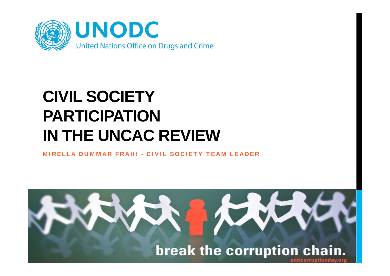

# **CIVIL SOCIETY PARTICIPATIONIN THE UNCAC REVIEW**

MIRELLA DUMMAR FRAHI - CIVIL SOCIETY TEAM LEADER

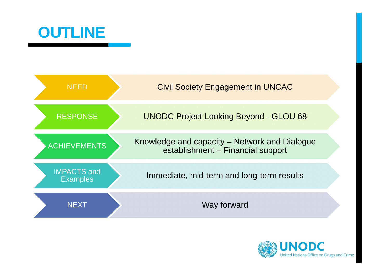



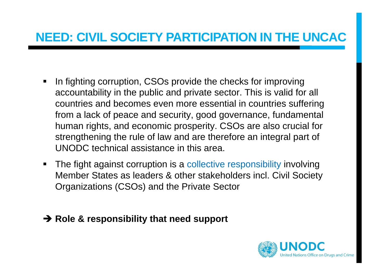## **NEED: CIVIL SOCIETY PARTICIPATION IN THE UNCAC**

- $\blacksquare$  In fighting corruption, CSOs provide the checks for improving accountability in the public and private sector. This is valid for all countries and becomes even more essential in countries suffering from a lack of peace and security, good governance, fundamental human rights, and economic prosperity. CSOs are also crucial for strengthening the rule of law and are therefore an integral part of UNODC technical assistance in this area.
- $\blacksquare$  The fight against corruption is a collective responsibility involving Member States as leaders & other stakeholders incl. Civil Society Organizations (CSOs) and the Private Sector
- **→ Role & responsibility that need support**

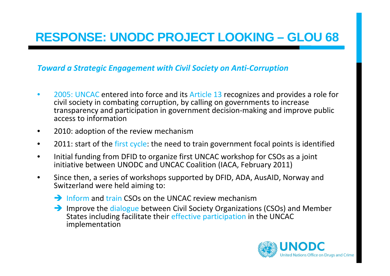# **RESPONSE: UNODC PROJECT LOOKING – GLOU 68**

#### *Toward a Strategic Engagement with Civil Society on Anti ‐Corruption*

- •• 2005: UNCAC entered into force and its Article 13 recognizes and provides a role for civil society in combating corruption, by calling on governments to increase transparency and participation in government decision‐making and improve public access to information
- •2010: adoption of the review mechanism
- $\bullet$ • 2011: start of the first cycle: the need to train government focal points is identified
- •• Initial funding from DFID to organize first UNCAC workshop for CSOs as a joint initiative between UNODC and UNCAC Coalition (IACA, February 2011)
- •• Since then, a series of workshops supported by DFID, ADA, AusAID, Norway and Switzerland were held aiming to:
	- $\rightarrow$  Inform and train CSOs on the UNCAC review mechanism
	- Improve the dialogue between Civil Society Organizations (CSOs) and Member States including facilitate their effective participation in the UNCAC implementation

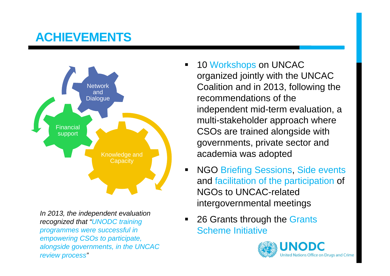# **ACHIEVEMENTS**



*In 2013, the independent evaluation recognized that "UNODC training programmes were successful in empowering CSOs to participate, alongside governments, in the UNCAC review process"*

- ٠ 10 Workshops on UNCAC organized jointly with the UNCAC Coalition and in 2013, following the recommendations of the independent mid-term evaluation, a multi-stakeholder approach where CSOs are trained alongside with governments, private sector and academia was adopted
- $\blacksquare$  NGO Briefing Sessions, Side events and facilitation of the participation of NGOs to UNCAC-related intergovernmental meetings
- $\blacksquare$  26 Grants through the Grants Scheme Initiative

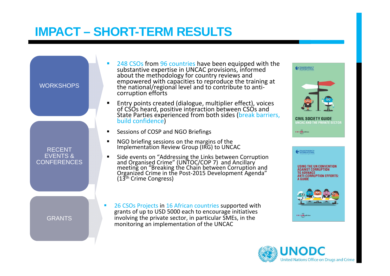# **IMPACT – SHORT-TERM RESULTS**



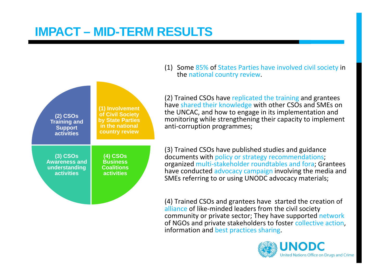# **IMPACT – MID-TERM RESULTS**



(1) Some 85% of States Parties have involved civil society in the national country review.

(2) Trained CSOs have replicated the training and grantees have shared their knowledge with other CSOs and SMEs on the UNCAC, and how to engage in its implementation and monitoring while strengthening their capacity to implement anti‐corruption programmes;

(3) Trained CSOs have published studies and guidance documents with policy or strategy recommendations; organized multi‐stakeholder roundtables and fora; Grantees have conducted advocacy campaign involving the media and SMEs referring to or using UNODC advocacy materials;

(4) Trained CSOs and grantees have started the creation of alliance of like-minded leaders from the civil society community or private sector; They have supported network of NGOs and private stakeholders to foster collective action, information and best practices sharing.

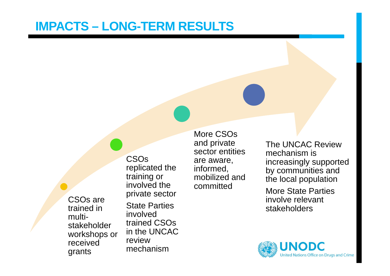### **IMPACTS – LONG-TERM RESULTS**

CSOs are trained in multistakeholder workshops or received grants

CSOs replicated the training or involved the private sector State Parties involved trained CSOs in the UNCAC review mechanism

More CSOs and private sector entities are aware, informed, mobilized and committed

The UNCAC Review mechanism is increasingly supported by communities and the local population

More State Parties involve relevant stakeholders

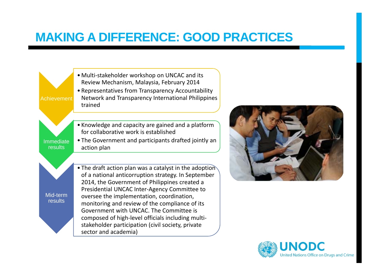



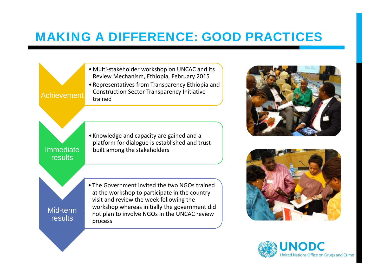





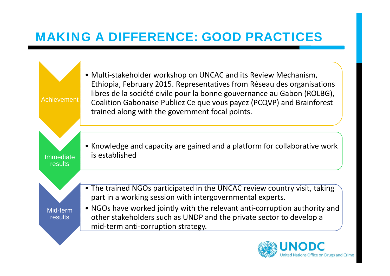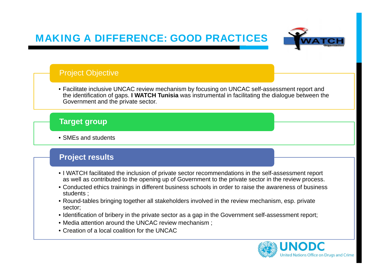

#### Project Objective

• Facilitate inclusive UNCAC review mechanism by focusing on UNCAC self-assessment report and the identification of gaps. **I WATCH Tunisia** was instrumental in facilitating the dialogue between the Government and the private sector.

#### **Target group**

• SMEs and students

#### **Project results**

- I WATCH facilitated the inclusion of private sector recommendations in the self-assessment report as well as contributed to the opening up of Government to the private sector in the review process.
- Conducted ethics trainings in different business schools in order to raise the awareness of business students ;
- Round-tables bringing together all stakeholders involved in the review mechanism, esp. private sector;
- Identification of bribery in the private sector as a gap in the Government self-assessment report;
- Media attention around the UNCAC review mechanism ;
- Creation of a local coalition for the UNCAC

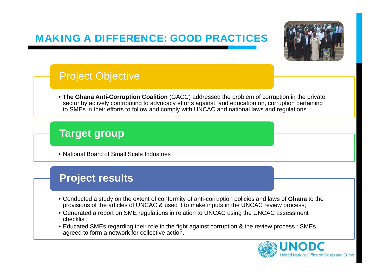

### Project Objective

• **The Ghana Anti-Corruption Coalition** (GACC) addressed the problem of corruption in the private sector by actively contributing to advocacy efforts against, and education on, corruption pertaining to SMEs in their efforts to follow and comply with UNCAC and national laws and regulations

### **Target group**

• National Board of Small Scale Industries

### **Project results**

- Conducted a study on the extent of conformity of anti-corruption policies and laws of **Ghana** to the provisions of the articles of UNCAC & used it to make inputs in the UNCAC review process;
- Generated a report on SME regulations in relation to UNCAC using the UNCAC assessment checklist;
- Educated SMEs regarding their role in the fight against corruption & the review process : SMEs agreed to form a network for collective action.

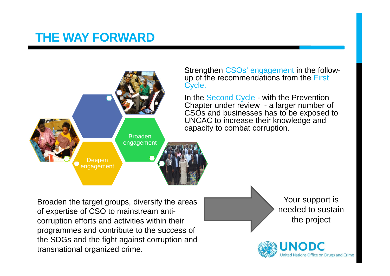### **THE WAY FORWARD**



Broaden the target groups, diversify the areas of expertise of CSO to mainstream anticorruption efforts and activities within their programmes and contribute to the success of the SDGs and the fight against corruption and transnational organized crime.

Your support is needed to sustain the project